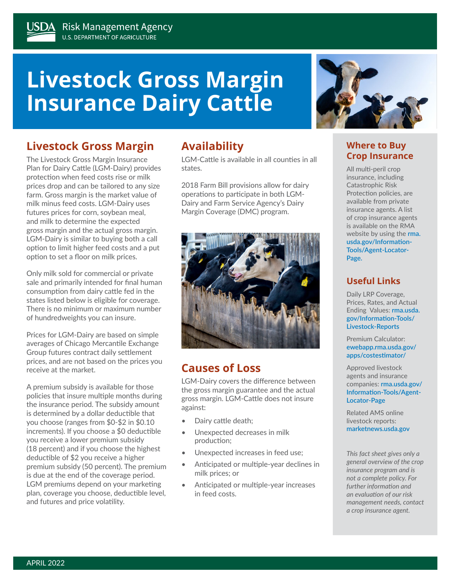# **Livestock Gross Margin Insurance Dairy Cattle**

## **Livestock Gross Margin**

The Livestock Gross Margin Insurance Plan for Dairy Cattle (LGM-Dairy) provides protection when feed costs rise or milk prices drop and can be tailored to any size farm. Gross margin is the market value of milk minus feed costs. LGM-Dairy uses futures prices for corn, soybean meal, and milk to determine the expected gross margin and the actual gross margin. LGM-Dairy is similar to buying both a call option to limit higher feed costs and a put option to set a floor on milk prices.

Only milk sold for commercial or private sale and primarily intended for final human consumption from dairy cattle fed in the states listed below is eligible for coverage. There is no minimum or maximum number of hundredweights you can insure.

Prices for LGM-Dairy are based on simple averages of Chicago Mercantile Exchange Group futures contract daily settlement prices, and are not based on the prices you receive at the market.

A premium subsidy is available for those policies that insure multiple months during the insurance period. The subsidy amount is determined by a dollar deductible that you choose (ranges from \$0-\$2 in \$0.10 increments). If you choose a \$0 deductible you receive a lower premium subsidy (18 percent) and if you choose the highest deductible of \$2 you receive a higher premium subsidy (50 percent). The premium is due at the end of the coverage period. LGM premiums depend on your marketing plan, coverage you choose, deductible level, and futures and price volatility.

## **Availability**

LGM-Cattle is available in all counties in all states.

2018 Farm Bill provisions allow for dairy operations to participate in both LGM-Dairy and Farm Service Agency's Dairy Margin Coverage (DMC) program.



## **Causes of Loss**

LGM-Dairy covers the difference between the gross margin guarantee and the actual gross margin. LGM-Cattle does not insure against:

- Dairy cattle death;
- Unexpected decreases in milk production;
- Unexpected increases in feed use;
- Anticipated or multiple-year declines in milk prices; or
- Anticipated or multiple-year increases in feed costs.



#### **Where to Buy Crop Insurance**

All multi-peril crop insurance, including Catastrophic Risk Protection policies, are available from private insurance agents. A list of crop insurance agents is available on the RMA website by using the **[rma.](http://rma.usda.gov/Information-Tools/Agent-Locator-Page) [usda.gov/Information-](http://rma.usda.gov/Information-Tools/Agent-Locator-Page)[Tools/Agent-Locator-](http://rma.usda.gov/Information-Tools/Agent-Locator-Page)[Page.](http://rma.usda.gov/Information-Tools/Agent-Locator-Page)**

#### **Useful Links**

Daily LRP Coverage, Prices, Rates, and Actual Ending Values: **[rma.usda.](http://rma.usda.gov/Information-Tools/Livestock-Reports) [gov/Information-Tools/](http://rma.usda.gov/Information-Tools/Livestock-Reports) [Livestock-Reports](http://rma.usda.gov/Information-Tools/Livestock-Reports)**

Premium Calculator: **[ewebapp.rma.usda.gov/](https://ewebapp.rma.usda.gov/apps/costestimator/) [apps/costestimator/](https://ewebapp.rma.usda.gov/apps/costestimator/)**

Approved livestock agents and insurance companies: **[rma.usda.gov/](http://rma.usda.gov/Information-Tools/Agent-Locator-Page) [Information-Tools/Agent-](http://rma.usda.gov/Information-Tools/Agent-Locator-Page)[Locator-Page](http://rma.usda.gov/Information-Tools/Agent-Locator-Page)**

Related AMS online livestock reports: **[marketnews.usda.gov](https://marketnews.usda.gov/mnp/)**

*This fact sheet gives only a general overview of the crop insurance program and is not a complete policy. For further information and an evaluation of our risk management needs, contact a crop insurance agent.*